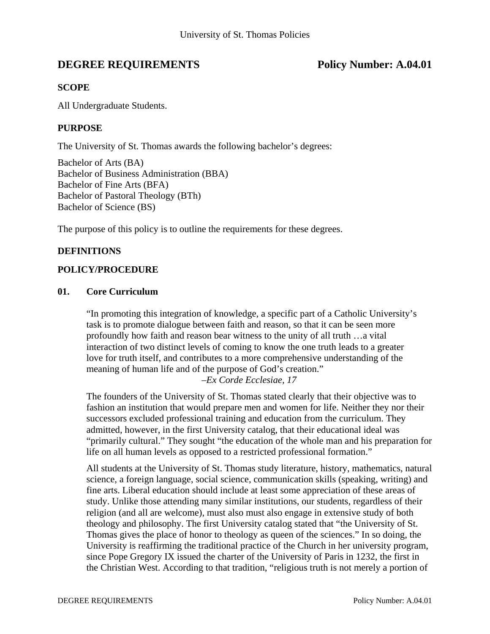# **DEGREE REQUIREMENTS** Policy Number: A.04.01

### **SCOPE**

All Undergraduate Students.

#### **PURPOSE**

The University of St. Thomas awards the following bachelor's degrees:

Bachelor of Arts (BA) Bachelor of Business Administration (BBA) Bachelor of Fine Arts (BFA) Bachelor of Pastoral Theology (BTh) Bachelor of Science (BS)

The purpose of this policy is to outline the requirements for these degrees.

#### **DEFINITIONS**

#### **POLICY/PROCEDURE**

#### **01. Core Curriculum**

"In promoting this integration of knowledge, a specific part of a Catholic University's task is to promote dialogue between faith and reason, so that it can be seen more profoundly how faith and reason bear witness to the unity of all truth …a vital interaction of two distinct levels of coming to know the one truth leads to a greater love for truth itself, and contributes to a more comprehensive understanding of the meaning of human life and of the purpose of God's creation." *–Ex Corde Ecclesiae, 17*

The founders of the University of St. Thomas stated clearly that their objective was to fashion an institution that would prepare men and women for life. Neither they nor their successors excluded professional training and education from the curriculum. They admitted, however, in the first University catalog, that their educational ideal was "primarily cultural." They sought "the education of the whole man and his preparation for life on all human levels as opposed to a restricted professional formation."

All students at the University of St. Thomas study literature, history, mathematics, natural science, a foreign language, social science, communication skills (speaking, writing) and fine arts. Liberal education should include at least some appreciation of these areas of study. Unlike those attending many similar institutions, our students, regardless of their religion (and all are welcome), must also must also engage in extensive study of both theology and philosophy. The first University catalog stated that "the University of St. Thomas gives the place of honor to theology as queen of the sciences." In so doing, the University is reaffirming the traditional practice of the Church in her university program, since Pope Gregory IX issued the charter of the University of Paris in 1232, the first in the Christian West. According to that tradition, "religious truth is not merely a portion of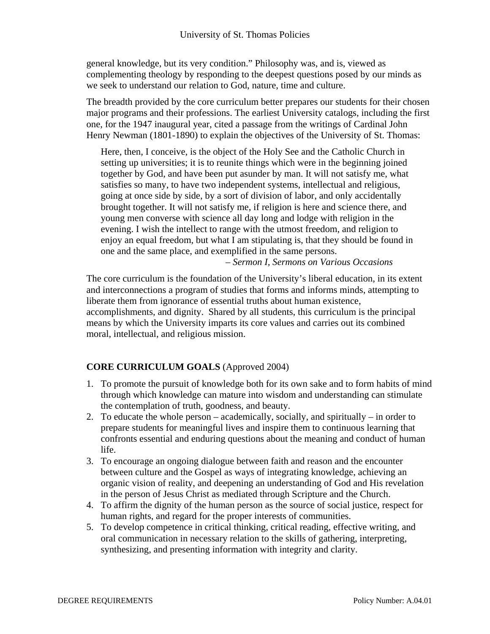general knowledge, but its very condition." Philosophy was, and is, viewed as complementing theology by responding to the deepest questions posed by our minds as we seek to understand our relation to God, nature, time and culture.

The breadth provided by the core curriculum better prepares our students for their chosen major programs and their professions. The earliest University catalogs, including the first one, for the 1947 inaugural year, cited a passage from the writings of Cardinal John Henry Newman (1801-1890) to explain the objectives of the University of St. Thomas:

Here, then, I conceive, is the object of the Holy See and the Catholic Church in setting up universities; it is to reunite things which were in the beginning joined together by God, and have been put asunder by man. It will not satisfy me, what satisfies so many, to have two independent systems, intellectual and religious, going at once side by side, by a sort of division of labor, and only accidentally brought together. It will not satisfy me, if religion is here and science there, and young men converse with science all day long and lodge with religion in the evening. I wish the intellect to range with the utmost freedom, and religion to enjoy an equal freedom, but what I am stipulating is, that they should be found in one and the same place, and exemplified in the same persons.

*– Sermon I, Sermons on Various Occasions* 

The core curriculum is the foundation of the University's liberal education, in its extent and interconnections a program of studies that forms and informs minds, attempting to liberate them from ignorance of essential truths about human existence, accomplishments, and dignity. Shared by all students, this curriculum is the principal means by which the University imparts its core values and carries out its combined moral, intellectual, and religious mission.

# **CORE CURRICULUM GOALS** (Approved 2004)

- 1. To promote the pursuit of knowledge both for its own sake and to form habits of mind through which knowledge can mature into wisdom and understanding can stimulate the contemplation of truth, goodness, and beauty.
- 2. To educate the whole person academically, socially, and spiritually in order to prepare students for meaningful lives and inspire them to continuous learning that confronts essential and enduring questions about the meaning and conduct of human life.
- 3. To encourage an ongoing dialogue between faith and reason and the encounter between culture and the Gospel as ways of integrating knowledge, achieving an organic vision of reality, and deepening an understanding of God and His revelation in the person of Jesus Christ as mediated through Scripture and the Church.
- 4. To affirm the dignity of the human person as the source of social justice, respect for human rights, and regard for the proper interests of communities.
- 5. To develop competence in critical thinking, critical reading, effective writing, and oral communication in necessary relation to the skills of gathering, interpreting, synthesizing, and presenting information with integrity and clarity.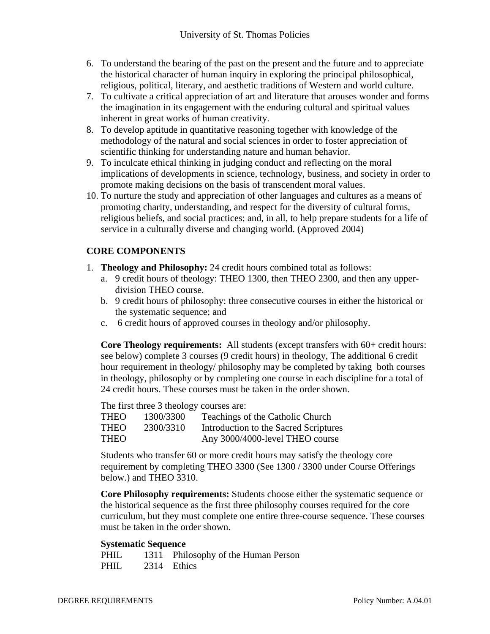- 6. To understand the bearing of the past on the present and the future and to appreciate the historical character of human inquiry in exploring the principal philosophical, religious, political, literary, and aesthetic traditions of Western and world culture.
- 7. To cultivate a critical appreciation of art and literature that arouses wonder and forms the imagination in its engagement with the enduring cultural and spiritual values inherent in great works of human creativity.
- 8. To develop aptitude in quantitative reasoning together with knowledge of the methodology of the natural and social sciences in order to foster appreciation of scientific thinking for understanding nature and human behavior.
- 9. To inculcate ethical thinking in judging conduct and reflecting on the moral implications of developments in science, technology, business, and society in order to promote making decisions on the basis of transcendent moral values.
- 10. To nurture the study and appreciation of other languages and cultures as a means of promoting charity, understanding, and respect for the diversity of cultural forms, religious beliefs, and social practices; and, in all, to help prepare students for a life of service in a culturally diverse and changing world. (Approved 2004)

# **CORE COMPONENTS**

- 1. **Theology and Philosophy:** 24 credit hours combined total as follows:
	- a. 9 credit hours of theology: THEO 1300, then THEO 2300, and then any upperdivision THEO course.
	- b. 9 credit hours of philosophy: three consecutive courses in either the historical or the systematic sequence; and
	- c. 6 credit hours of approved courses in theology and/or philosophy.

**Core Theology requirements:** All students (except transfers with  $60+$  credit hours: see below) complete 3 courses (9 credit hours) in theology, The additional 6 credit hour requirement in theology/ philosophy may be completed by taking both courses in theology, philosophy or by completing one course in each discipline for a total of 24 credit hours. These courses must be taken in the order shown.

The first three 3 theology courses are:

| <b>THEO</b> | 1300/3300 | Teachings of the Catholic Church      |
|-------------|-----------|---------------------------------------|
| <b>THEO</b> | 2300/3310 | Introduction to the Sacred Scriptures |
| <b>THEO</b> |           | Any 3000/4000-level THEO course       |

Students who transfer 60 or more credit hours may satisfy the theology core requirement by completing THEO 3300 (See 1300 / 3300 under Course Offerings below.) and THEO 3310.

**Core Philosophy requirements:** Students choose either the systematic sequence or the historical sequence as the first three philosophy courses required for the core curriculum, but they must complete one entire three-course sequence. These courses must be taken in the order shown.

#### **Systematic Sequence**

| <b>PHIL</b> | 1311 Philosophy of the Human Person |
|-------------|-------------------------------------|
| <b>PHIL</b> | 2314 Ethics                         |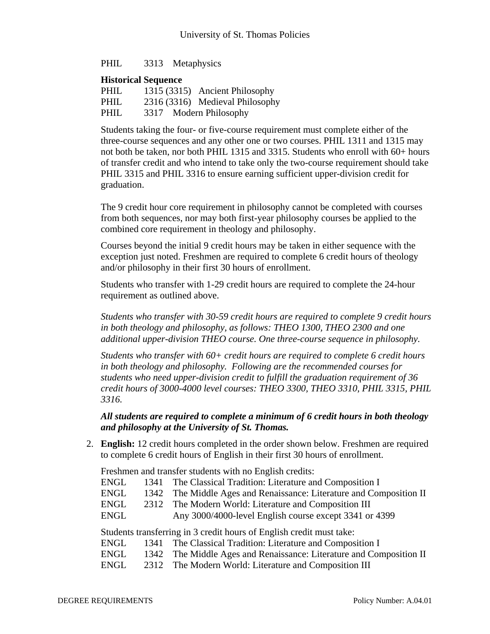PHIL 3313 Metaphysics

#### **Historical Sequence**

| <b>PHIL</b> | 1315 (3315) Ancient Philosophy  |  |
|-------------|---------------------------------|--|
| <b>PHIL</b> | 2316 (3316) Medieval Philosophy |  |
| <b>PHIL</b> | 3317 Modern Philosophy          |  |

Students taking the four- or five-course requirement must complete either of the three-course sequences and any other one or two courses. PHIL 1311 and 1315 may not both be taken, nor both PHIL 1315 and 3315. Students who enroll with 60+ hours of transfer credit and who intend to take only the two-course requirement should take PHIL 3315 and PHIL 3316 to ensure earning sufficient upper-division credit for graduation.

The 9 credit hour core requirement in philosophy cannot be completed with courses from both sequences, nor may both first-year philosophy courses be applied to the combined core requirement in theology and philosophy.

Courses beyond the initial 9 credit hours may be taken in either sequence with the exception just noted. Freshmen are required to complete 6 credit hours of theology and/or philosophy in their first 30 hours of enrollment.

Students who transfer with 1-29 credit hours are required to complete the 24-hour requirement as outlined above.

*Students who transfer with 30-59 credit hours are required to complete 9 credit hours in both theology and philosophy, as follows: THEO 1300, THEO 2300 and one additional upper-division THEO course. One three-course sequence in philosophy.* 

*Students who transfer with 60+ credit hours are required to complete 6 credit hours in both theology and philosophy. Following are the recommended courses for students who need upper-division credit to fulfill the graduation requirement of 36 credit hours of 3000-4000 level courses: THEO 3300, THEO 3310, PHIL 3315, PHIL 3316.* 

*All students are required to complete a minimum of 6 credit hours in both theology and philosophy at the University of St. Thomas.* 

2. **English:** 12 credit hours completed in the order shown below. Freshmen are required to complete 6 credit hours of English in their first 30 hours of enrollment.

Freshmen and transfer students with no English credits:

| ENGL | 1341 The Classical Tradition: Literature and Composition I          |
|------|---------------------------------------------------------------------|
| ENGL | 1342 The Middle Ages and Renaissance: Literature and Composition II |
| ENGL | 2312 The Modern World: Literature and Composition III               |
| ENGL | Any 3000/4000-level English course except 3341 or 4399              |

Students transferring in 3 credit hours of English credit must take:

|      | ENGL 1341 The Classical Tradition: Literature and Composition I     |
|------|---------------------------------------------------------------------|
| ENGL | 1342 The Middle Ages and Renaissance: Literature and Composition II |
| ENGL | 2312 The Modern World: Literature and Composition III               |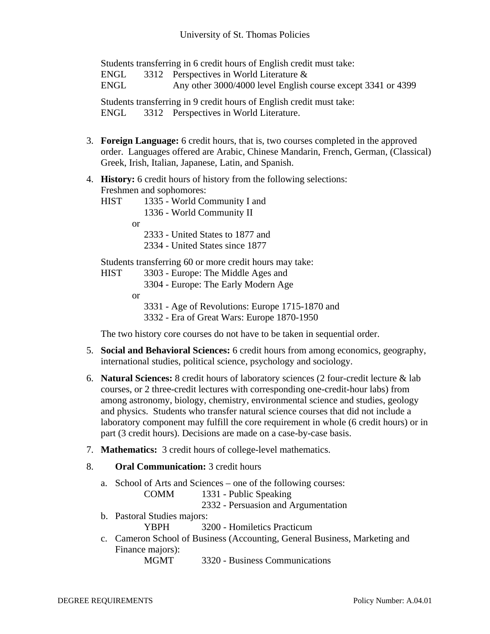Students transferring in 6 credit hours of English credit must take:

ENGL 3312 Perspectives in World Literature &

ENGL Any other 3000/4000 level English course except 3341 or 4399

Students transferring in 9 credit hours of English credit must take:

ENGL 3312 Perspectives in World Literature.

- 3. **Foreign Language:** 6 credit hours, that is, two courses completed in the approved order. Languages offered are Arabic, Chinese Mandarin, French, German, (Classical) Greek, Irish, Italian, Japanese, Latin, and Spanish.
- 4. **History:** 6 credit hours of history from the following selections: Freshmen and sophomores:
	- HIST 1335 World Community I and 1336 - World Community II or 2333 - United States to 1877 and 2334 - United States since 1877 Students transferring 60 or more credit hours may take: HIST 3303 - Europe: The Middle Ages and 3304 - Europe: The Early Modern Age

or

 3331 - Age of Revolutions: Europe 1715-1870 and 3332 - Era of Great Wars: Europe 1870-1950

The two history core courses do not have to be taken in sequential order.

- 5. **Social and Behavioral Sciences:** 6 credit hours from among economics, geography, international studies, political science, psychology and sociology.
- 6. **Natural Sciences:** 8 credit hours of laboratory sciences (2 four-credit lecture & lab courses, or 2 three-credit lectures with corresponding one-credit-hour labs) from among astronomy, biology, chemistry, environmental science and studies, geology and physics. Students who transfer natural science courses that did not include a laboratory component may fulfill the core requirement in whole (6 credit hours) or in part (3 credit hours). Decisions are made on a case-by-case basis.
- 7. **Mathematics:** 3 credit hours of college-level mathematics.
- 8. **Oral Communication:** 3 credit hours
	- a. School of Arts and Sciences one of the following courses:
		- COMM 1331 Public Speaking
			- 2332 Persuasion and Argumentation
	- b. Pastoral Studies majors:
		- YBPH 3200 Homiletics Practicum
	- c. Cameron School of Business (Accounting, General Business, Marketing and Finance majors):

MGMT 3320 - Business Communications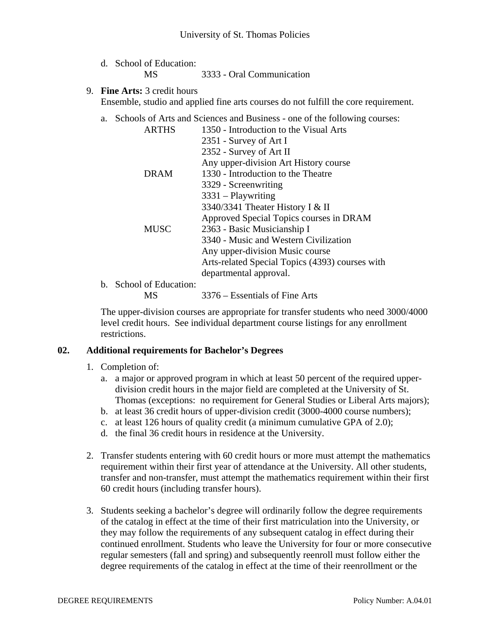- d. School of Education: MS 3333 - Oral Communication
- 9. **Fine Arts:** 3 credit hours Ensemble, studio and applied fine arts courses do not fulfill the core requirement.
	- a. Schools of Arts and Sciences and Business one of the following courses:

| <b>ARTHS</b>       | 1350 - Introduction to the Visual Arts          |
|--------------------|-------------------------------------------------|
|                    | 2351 - Survey of Art I                          |
|                    | 2352 - Survey of Art II                         |
|                    | Any upper-division Art History course           |
| <b>DRAM</b>        | 1330 - Introduction to the Theatre              |
|                    | 3329 - Screenwriting                            |
|                    | $3331 -$ Playwriting                            |
|                    | 3340/3341 Theater History I & II                |
|                    | Approved Special Topics courses in DRAM         |
| <b>MUSC</b>        | 2363 - Basic Musicianship I                     |
|                    | 3340 - Music and Western Civilization           |
|                    | Any upper-division Music course                 |
|                    | Arts-related Special Topics (4393) courses with |
|                    | departmental approval.                          |
| icol of Education: |                                                 |

b. School of Education:

MS 3376 – Essentials of Fine Arts

The upper-division courses are appropriate for transfer students who need 3000/4000 level credit hours. See individual department course listings for any enrollment restrictions.

#### **02. Additional requirements for Bachelor's Degrees**

- 1. Completion of:
	- a. a major or approved program in which at least 50 percent of the required upperdivision credit hours in the major field are completed at the University of St. Thomas (exceptions: no requirement for General Studies or Liberal Arts majors);
	- b. at least 36 credit hours of upper-division credit (3000-4000 course numbers);
	- c. at least 126 hours of quality credit (a minimum cumulative GPA of 2.0);
	- d. the final 36 credit hours in residence at the University.
- 2. Transfer students entering with 60 credit hours or more must attempt the mathematics requirement within their first year of attendance at the University. All other students, transfer and non-transfer, must attempt the mathematics requirement within their first 60 credit hours (including transfer hours).
- 3. Students seeking a bachelor's degree will ordinarily follow the degree requirements of the catalog in effect at the time of their first matriculation into the University, or they may follow the requirements of any subsequent catalog in effect during their continued enrollment. Students who leave the University for four or more consecutive regular semesters (fall and spring) and subsequently reenroll must follow either the degree requirements of the catalog in effect at the time of their reenrollment or the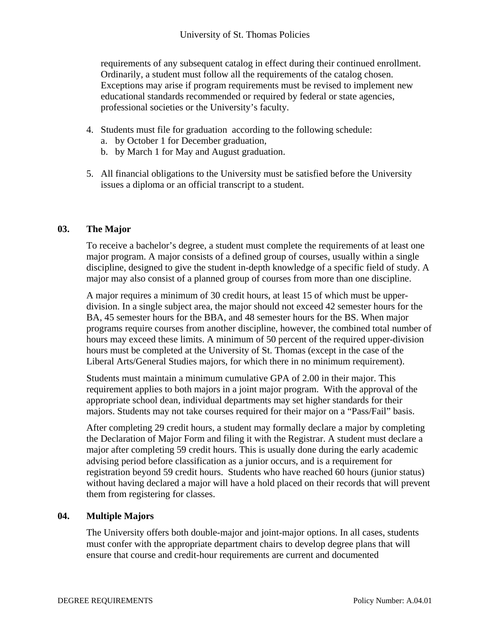requirements of any subsequent catalog in effect during their continued enrollment. Ordinarily, a student must follow all the requirements of the catalog chosen. Exceptions may arise if program requirements must be revised to implement new educational standards recommended or required by federal or state agencies, professional societies or the University's faculty.

- 4. Students must file for graduation according to the following schedule:
	- a. by October 1 for December graduation,
	- b. by March 1 for May and August graduation.
- 5. All financial obligations to the University must be satisfied before the University issues a diploma or an official transcript to a student.

### **03. The Major**

To receive a bachelor's degree, a student must complete the requirements of at least one major program. A major consists of a defined group of courses, usually within a single discipline, designed to give the student in-depth knowledge of a specific field of study. A major may also consist of a planned group of courses from more than one discipline.

A major requires a minimum of 30 credit hours, at least 15 of which must be upperdivision. In a single subject area, the major should not exceed 42 semester hours for the BA, 45 semester hours for the BBA, and 48 semester hours for the BS. When major programs require courses from another discipline, however, the combined total number of hours may exceed these limits. A minimum of 50 percent of the required upper-division hours must be completed at the University of St. Thomas (except in the case of the Liberal Arts/General Studies majors, for which there in no minimum requirement).

Students must maintain a minimum cumulative GPA of 2.00 in their major. This requirement applies to both majors in a joint major program. With the approval of the appropriate school dean, individual departments may set higher standards for their majors. Students may not take courses required for their major on a "Pass/Fail" basis.

After completing 29 credit hours, a student may formally declare a major by completing the Declaration of Major Form and filing it with the Registrar. A student must declare a major after completing 59 credit hours. This is usually done during the early academic advising period before classification as a junior occurs, and is a requirement for registration beyond 59 credit hours. Students who have reached 60 hours (junior status) without having declared a major will have a hold placed on their records that will prevent them from registering for classes.

#### **04. Multiple Majors**

The University offers both double-major and joint-major options. In all cases, students must confer with the appropriate department chairs to develop degree plans that will ensure that course and credit-hour requirements are current and documented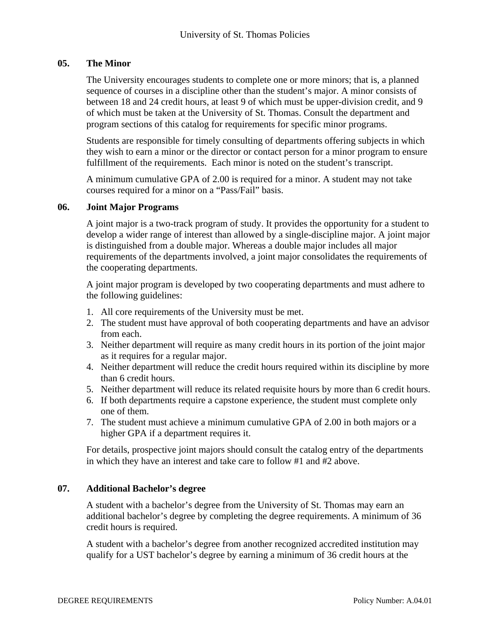### **05. The Minor**

The University encourages students to complete one or more minors; that is, a planned sequence of courses in a discipline other than the student's major. A minor consists of between 18 and 24 credit hours, at least 9 of which must be upper-division credit, and 9 of which must be taken at the University of St. Thomas. Consult the department and program sections of this catalog for requirements for specific minor programs.

Students are responsible for timely consulting of departments offering subjects in which they wish to earn a minor or the director or contact person for a minor program to ensure fulfillment of the requirements. Each minor is noted on the student's transcript.

A minimum cumulative GPA of 2.00 is required for a minor. A student may not take courses required for a minor on a "Pass/Fail" basis.

#### **06. Joint Major Programs**

A joint major is a two-track program of study. It provides the opportunity for a student to develop a wider range of interest than allowed by a single-discipline major. A joint major is distinguished from a double major. Whereas a double major includes all major requirements of the departments involved, a joint major consolidates the requirements of the cooperating departments.

A joint major program is developed by two cooperating departments and must adhere to the following guidelines:

- 1. All core requirements of the University must be met.
- 2. The student must have approval of both cooperating departments and have an advisor from each.
- 3. Neither department will require as many credit hours in its portion of the joint major as it requires for a regular major.
- 4. Neither department will reduce the credit hours required within its discipline by more than 6 credit hours.
- 5. Neither department will reduce its related requisite hours by more than 6 credit hours.
- 6. If both departments require a capstone experience, the student must complete only one of them.
- 7. The student must achieve a minimum cumulative GPA of 2.00 in both majors or a higher GPA if a department requires it.

For details, prospective joint majors should consult the catalog entry of the departments in which they have an interest and take care to follow #1 and #2 above.

#### **07. Additional Bachelor's degree**

A student with a bachelor's degree from the University of St. Thomas may earn an additional bachelor's degree by completing the degree requirements. A minimum of 36 credit hours is required.

A student with a bachelor's degree from another recognized accredited institution may qualify for a UST bachelor's degree by earning a minimum of 36 credit hours at the